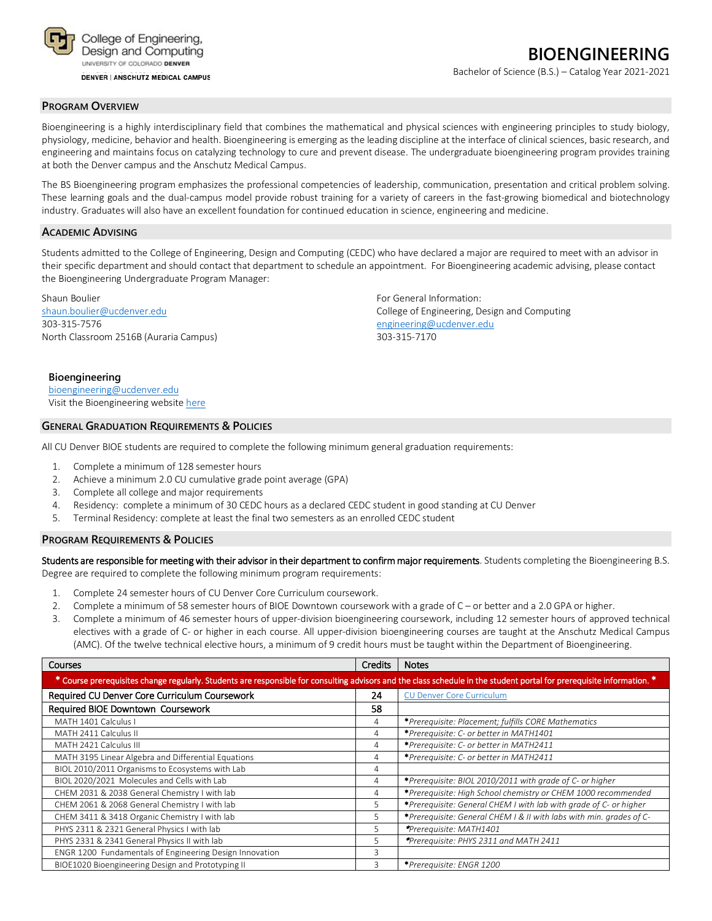

**DENVER | ANSCHUTZ MEDICAL CAMPUS** 

Bachelor of Science (B.S.) – Catalog Year 2021-2021

#### **PROGRAM OVERVIEW**

Bioengineering is a highly interdisciplinary field that combines the mathematical and physical sciences with engineering principles to study biology, physiology, medicine, behavior and health. Bioengineering is emerging as the leading discipline at the interface of clinical sciences, basic research, and engineering and maintains focus on catalyzing technology to cure and prevent disease. The undergraduate bioengineering program provides training at both the Denver campus and the Anschutz Medical Campus.

The BS Bioengineering program emphasizes the professional competencies of leadership, communication, presentation and critical problem solving. These learning goals and the dual-campus model provide robust training for a variety of careers in the fast-growing biomedical and biotechnology industry. Graduates will also have an excellent foundation for continued education in science, engineering and medicine.

## **ACADEMIC ADVISING**

Students admitted to the College of Engineering, Design and Computing (CEDC) who have declared a major are required to meet with an advisor in their specific department and should contact that department to schedule an appointment. For Bioengineering academic advising, please contact the Bioengineering Undergraduate Program Manager:

Shaun Boulier For General Information: The Shaun Boulier For General Information: 303-315-7576 [engineering@ucdenver.edu](mailto:engineering@ucdenver.edu) North Classroom 2516B (Auraria Campus) 303-315-7170

[shaun.boulier@ucdenver.edu](mailto:shaun.boulier@ucdenver.edu) College of Engineering, Design and Computing

#### **Bioengineering** [bioengineering@ucdenver.edu](mailto:bioengineering@ucdenver.edu)

Visit the Bioengineering websit[e here](http://www.ucdenver.edu/academics/colleges/Engineering/Programs/bioengineering/UndergraduateProgram/Pages/undergraduateHome.aspx)

## **GENERAL GRADUATION REQUIREMENTS & POLICIES**

All CU Denver BIOE students are required to complete the following minimum general graduation requirements:

- 1. Complete a minimum of 128 semester hours
- 2. Achieve a minimum 2.0 CU cumulative grade point average (GPA)
- 3. Complete all college and major requirements
- 4. Residency: complete a minimum of 30 CEDC hours as a declared CEDC student in good standing at CU Denver
- 5. Terminal Residency: complete at least the final two semesters as an enrolled CEDC student

#### **PROGRAM REQUIREMENTS & POLICIES**

Students are responsible for meeting with their advisor in their department to confirm major requirements. Students completing the Bioengineering B.S. Degree are required to complete the following minimum program requirements:

- 1. Complete 24 semester hours of CU Denver Core Curriculum coursework.
- 2. Complete a minimum of 58 semester hours of BIOE Downtown coursework with a grade of C or better and a 2.0 GPA or higher.
- 3. Complete a minimum of 46 semester hours of upper-division bioengineering coursework, including 12 semester hours of approved technical electives with a grade of C- or higher in each course. All upper-division bioengineering courses are taught at the Anschutz Medical Campus (AMC). Of the twelve technical elective hours, a minimum of 9 credit hours must be taught within the Department of Bioengineering.

| <b>Courses</b>                                                                                                                                                         | <b>Credits</b> | <b>Notes</b>                                                        |
|------------------------------------------------------------------------------------------------------------------------------------------------------------------------|----------------|---------------------------------------------------------------------|
| * Course prerequisites change regularly. Students are responsible for consulting advisors and the class schedule in the student portal for prerequisite information. * |                |                                                                     |
| Required CU Denver Core Curriculum Coursework                                                                                                                          | 24             | <b>CU Denver Core Curriculum</b>                                    |
| Required BIOE Downtown Coursework                                                                                                                                      | 58             |                                                                     |
| MATH 1401 Calculus I                                                                                                                                                   | 4              | *Prerequisite: Placement; fulfills CORE Mathematics                 |
| MATH 2411 Calculus II                                                                                                                                                  | 4              | *Prerequisite: C- or better in MATH1401                             |
| MATH 2421 Calculus III                                                                                                                                                 | 4              | *Prerequisite: C- or better in MATH2411                             |
| MATH 3195 Linear Algebra and Differential Equations                                                                                                                    | 4              | *Prerequisite: C- or better in MATH2411                             |
| BIOL 2010/2011 Organisms to Ecosystems with Lab                                                                                                                        | 4              |                                                                     |
| BIOL 2020/2021 Molecules and Cells with Lab                                                                                                                            | 4              | *Prerequisite: BIOL 2010/2011 with grade of C- or higher            |
| CHEM 2031 & 2038 General Chemistry I with lab                                                                                                                          | 4              | *Prerequisite: High School chemistry or CHEM 1000 recommended       |
| CHEM 2061 & 2068 General Chemistry I with lab                                                                                                                          | 5              | *Prerequisite: General CHEM I with lab with grade of C- or higher   |
| CHEM 3411 & 3418 Organic Chemistry I with lab                                                                                                                          | 5.             | *Prerequisite: General CHEM I & II with labs with min. grades of C- |
| PHYS 2311 & 2321 General Physics I with lab                                                                                                                            | 5              | *Prerequisite: MATH1401                                             |
| PHYS 2331 & 2341 General Physics II with lab                                                                                                                           | 5              | *Prerequisite: PHYS 2311 and MATH 2411                              |
| ENGR 1200 Fundamentals of Engineering Design Innovation                                                                                                                | 3              |                                                                     |
| BIOE1020 Bioengineering Design and Prototyping II                                                                                                                      | 3              | *Prerequisite: ENGR 1200                                            |